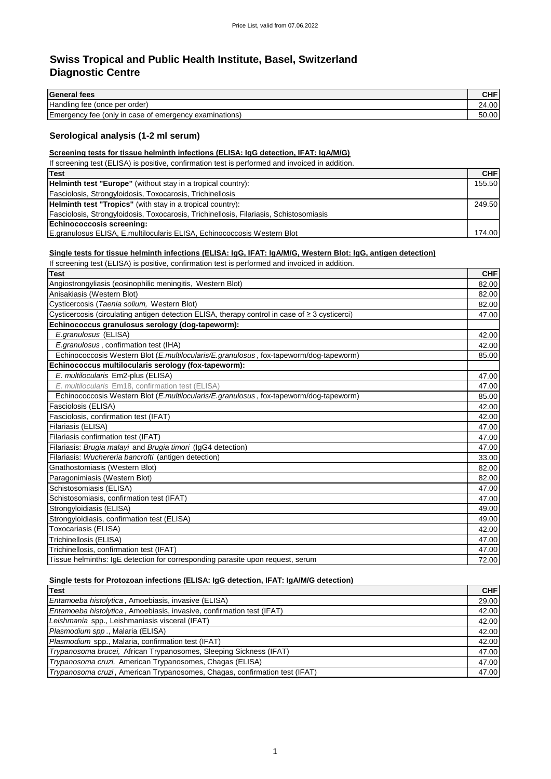# **Swiss Tropical and Public Health Institute, Basel, Switzerland Diagnostic Centre**

| <b>General fees</b>                                                                                                                                                                                              | <b>CHF</b> |
|------------------------------------------------------------------------------------------------------------------------------------------------------------------------------------------------------------------|------------|
| Handling fee (once per order)                                                                                                                                                                                    | 24.00      |
| Emergency fee (only in case of emergency examinations)                                                                                                                                                           | 50.00      |
| Serological analysis (1-2 ml serum)                                                                                                                                                                              |            |
| Screening tests for tissue helminth infections (ELISA: IgG detection, IFAT: IgA/M/G)                                                                                                                             |            |
| If screening test (ELISA) is positive, confirmation test is performed and invoiced in addition.                                                                                                                  |            |
| <b>Test</b>                                                                                                                                                                                                      | <b>CHF</b> |
| Helminth test "Europe" (without stay in a tropical country):                                                                                                                                                     | 155.50     |
| Fasciolosis, Strongyloidosis, Toxocarosis, Trichinellosis                                                                                                                                                        |            |
| Helminth test "Tropics" (with stay in a tropical country):                                                                                                                                                       | 249.50     |
| Fasciolosis, Strongyloidosis, Toxocarosis, Trichinellosis, Filariasis, Schistosomiasis                                                                                                                           |            |
| Echinococcosis screening:                                                                                                                                                                                        |            |
| E.granulosus ELISA, E.multilocularis ELISA, Echinococcosis Western Blot                                                                                                                                          | 174.00     |
| Single tests for tissue helminth infections (ELISA: IgG, IFAT: IgA/M/G, Western Blot: IgG, antigen detection)<br>If screening test (ELISA) is positive, confirmation test is performed and invoiced in addition. |            |
| <b>Test</b>                                                                                                                                                                                                      | <b>CHF</b> |
| Angiostrongyliasis (eosinophilic meningitis, Western Blot)                                                                                                                                                       | 82.00      |
| Anisakiasis (Western Blot)                                                                                                                                                                                       | 82.00      |
| Cysticercosis (Taenia solium, Western Blot)                                                                                                                                                                      | 82.00      |
| Cysticercosis (circulating antigen detection ELISA, therapy control in case of ≥ 3 cysticerci)                                                                                                                   | 47.00      |
| Echinococcus granulosus serology (dog-tapeworm):                                                                                                                                                                 |            |
| E.granulosus (ELISA)                                                                                                                                                                                             | 42.00      |
| E.granulosus, confirmation test (IHA)                                                                                                                                                                            | 42.00      |
| Echinococcosis Western Blot (E.multilocularis/E.granulosus, fox-tapeworm/dog-tapeworm)                                                                                                                           | 85.00      |
| Echinococcus multilocularis serology (fox-tapeworm):                                                                                                                                                             |            |
| E. multilocularis Em2-plus (ELISA)                                                                                                                                                                               | 47.00      |
| E. multilocularis Em18, confirmation test (ELISA)                                                                                                                                                                | 47.00      |
| Echinococcosis Western Blot (E.multilocularis/E.granulosus, fox-tapeworm/dog-tapeworm)                                                                                                                           | 85.00      |
| Fasciolosis (ELISA)                                                                                                                                                                                              | 42.00      |
| Fasciolosis, confirmation test (IFAT)                                                                                                                                                                            | 42.00      |
| Filariasis (ELISA)                                                                                                                                                                                               | 47.00      |
| Filariasis confirmation test (IFAT)                                                                                                                                                                              | 47.00      |
| Filariasis: Brugia malayi and Brugia timori (IgG4 detection)                                                                                                                                                     | 47.00      |
| Filariasis: Wuchereria bancrofti (antigen detection)                                                                                                                                                             | 33.00      |
| Gnathostomiasis (Western Blot)                                                                                                                                                                                   | 82.00      |
| Paragonimiasis (Western Blot)                                                                                                                                                                                    | 82.00      |
| Schistosomiasis (ELISA)                                                                                                                                                                                          | 47.00      |
| Schistosomiasis, confirmation test (IFAT)                                                                                                                                                                        | 47.00      |
| Strongyloidiasis (ELISA)                                                                                                                                                                                         | 49.00      |
| Strongyloidiasis, confirmation test (ELISA)                                                                                                                                                                      | 49.00      |
| Toxocariasis (ELISA)                                                                                                                                                                                             | 42.00      |
| Trichinellosis (ELISA)                                                                                                                                                                                           | 47.00      |
| Trichinellosis, confirmation test (IFAT)                                                                                                                                                                         | 47.00      |

## **Single tests for Protozoan infections (ELISA: IgG detection, IFAT: IgA/M/G detection)**

| <b>Test</b>                                                                | <b>CHF</b> |
|----------------------------------------------------------------------------|------------|
| Entamoeba histolytica, Amoebiasis, invasive (ELISA)                        | 29.00      |
| Entamoeba histolytica, Amoebiasis, invasive, confirmation test (IFAT)      | 42.00      |
| Leishmania spp., Leishmaniasis visceral (IFAT)                             | 42.00      |
| Plasmodium spp., Malaria (ELISA)                                           | 42.00      |
| Plasmodium spp., Malaria, confirmation test (IFAT)                         | 42.00      |
| Trypanosoma brucei, African Trypanosomes, Sleeping Sickness (IFAT)         | 47.00      |
| Trypanosoma cruzi, American Trypanosomes, Chagas (ELISA)                   | 47.00      |
| Trypanosoma cruzi, American Trypanosomes, Chagas, confirmation test (IFAT) | 47.00      |

Tissue helminths: IgE detection for corresponding parasite upon request, serum 1999 and 1999 and 1999 and 1999 and 1999 and 1999 and 1999 and 1999 and 1999 and 1999 and 1999 and 1999 and 1999 and 1999 and 1999 and 1999 and

1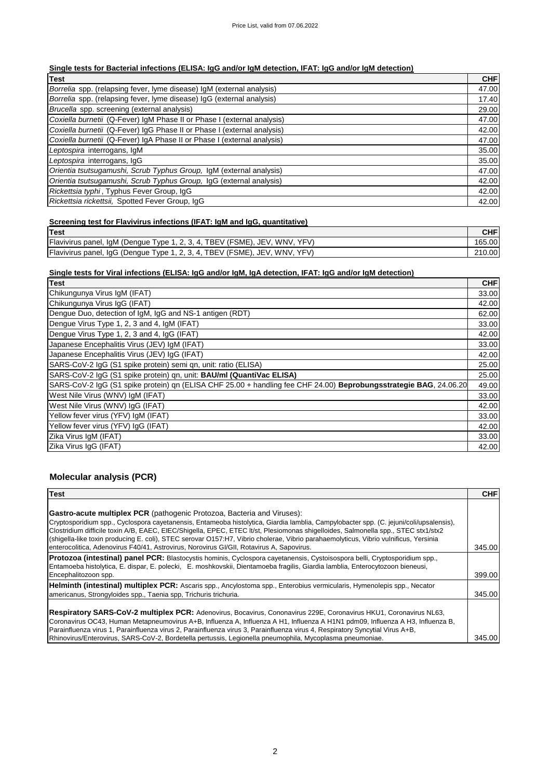### **Single tests for Bacterial infections (ELISA: IgG and/or IgM detection, IFAT: IgG and/or IgM detection)**

| <b>Test</b>                                                             | <b>CHF</b> |
|-------------------------------------------------------------------------|------------|
| Borrelia spp. (relapsing fever, lyme disease) IgM (external analysis)   | 47.00      |
| Borrelia spp. (relapsing fever, lyme disease) IgG (external analysis)   | 17.40      |
| Brucella spp. screening (external analysis)                             | 29.00      |
| Coxiella burnetii (Q-Fever) IgM Phase II or Phase I (external analysis) | 47.00      |
| Coxiella burnetii (Q-Fever) IqG Phase II or Phase I (external analysis) | 42.00      |
| Coxiella burnetii (Q-Fever) IgA Phase II or Phase I (external analysis) | 47.00      |
| Leptospira interrogans, IgM                                             | 35.00      |
| Leptospira interrogans, IgG                                             | 35.00      |
| Orientia tsutsugamushi, Scrub Typhus Group, IgM (external analysis)     | 47.00      |
| Orientia tsutsugamushi, Scrub Typhus Group, IgG (external analysis)     | 42.00      |
| Rickettsia typhi, Typhus Fever Group, IgG                               | 42.00      |
| Rickettsia rickettsii, Spotted Fever Group, IqG                         | 42.00      |

### **Screening test for Flavivirus infections (IFAT: IgM and IgG, quantitative)**

| <b>Test</b>                                                                                                |       |
|------------------------------------------------------------------------------------------------------------|-------|
| Flavivirus panel.<br>(FSME)<br>YFV)<br><b>WNV</b><br>JEV<br>vne 1<br>BEV<br>IaM /'<br>(Denaue<br>4         | .00.  |
| Flavivirus panel,<br>(FSME)<br>YF\/\<br>WNV<br>JEV<br>BEV-<br>(Denaue)<br>vpe<br>laG<br>$\mathbf{u}$<br>J. | 10.00 |

### **Single tests for Viral infections (ELISA: IgG and/or IgM, IgA detection, IFAT: IgG and/or IgM detection)**

| Test                                                                                                              | <b>CHF</b> |
|-------------------------------------------------------------------------------------------------------------------|------------|
| Chikungunya Virus IgM (IFAT)                                                                                      | 33.00      |
| Chikungunya Virus IgG (IFAT)                                                                                      | 42.00      |
| Dengue Duo, detection of IgM, IgG and NS-1 antigen (RDT)                                                          | 62.00      |
| Dengue Virus Type 1, 2, 3 and 4, IgM (IFAT)                                                                       | 33.00      |
| Dengue Virus Type 1, 2, 3 and 4, IgG (IFAT)                                                                       | 42.00      |
| Japanese Encephalitis Virus (JEV) IgM (IFAT)                                                                      | 33.00      |
| Japanese Encephalitis Virus (JEV) IgG (IFAT)                                                                      | 42.00      |
| SARS-CoV-2 IgG (S1 spike protein) semi qn, unit: ratio (ELISA)                                                    | 25.00      |
| SARS-CoV-2 IgG (S1 spike protein) qn, unit: <b>BAU/ml (QuantiVac ELISA)</b>                                       | 25.00      |
| SARS-CoV-2 IgG (S1 spike protein) qn (ELISA CHF 25.00 + handling fee CHF 24.00) Beprobungsstrategie BAG, 24.06.20 | 49.00      |
| West Nile Virus (WNV) IgM (IFAT)                                                                                  | 33.00      |
| West Nile Virus (WNV) IgG (IFAT)                                                                                  | 42.00      |
| Yellow fever virus (YFV) IgM (IFAT)                                                                               | 33.00      |
| Yellow fever virus (YFV) IgG (IFAT)                                                                               | 42.00      |
| Zika Virus IgM (IFAT)                                                                                             | 33.00      |
| Zika Virus IgG (IFAT)                                                                                             | 42.00      |

### **Molecular analysis (PCR)**

| <b>Test</b>                                                                                                                                                                                                                                                                                                                                                                                                                                                                                                                                                                                       | <b>CHF</b> |
|---------------------------------------------------------------------------------------------------------------------------------------------------------------------------------------------------------------------------------------------------------------------------------------------------------------------------------------------------------------------------------------------------------------------------------------------------------------------------------------------------------------------------------------------------------------------------------------------------|------------|
| <b>Gastro-acute multiplex PCR</b> (pathogenic Protozoa, Bacteria and Viruses):<br>Cryptosporidium spp., Cyclospora cayetanensis, Entameoba histolytica, Giardia lamblia, Campylobacter spp. (C. jejuni/coli/upsalensis),<br>Clostridium difficile toxin A/B, EAEC, EIEC/Shigella, EPEC, ETEC It/st, Plesiomonas shigelloides, Salmonella spp., STEC stx1/stx2<br>(shigella-like toxin producing E. coli), STEC serovar O157:H7, Vibrio cholerae, Vibrio parahaemolyticus, Vibrio vulnificus, Yersinia<br>enterocolitica, Adenovirus F40/41, Astrovirus, Norovirus GI/GII, Rotavirus A, Sapovirus. | 345.00     |
| Protozoa (intestinal) panel PCR: Blastocystis hominis, Cyclospora cayetanensis, Cystoisospora belli, Cryptosporidium spp.,<br>Entamoeba histolytica, E. dispar, E. polecki, E. moshkovskii, Dientamoeba fragilis, Giardia lamblia, Enterocytozoon bieneusi,<br>Encephalitozoon spp.                                                                                                                                                                                                                                                                                                               | 399.00     |
| Helminth (intestinal) multiplex PCR: Ascaris spp., Ancylostoma spp., Enterobius vermicularis, Hymenolepis spp., Necator<br>americanus, Strongyloides spp., Taenia spp. Trichuris trichuria.                                                                                                                                                                                                                                                                                                                                                                                                       | 345.00     |
| Respiratory SARS-CoV-2 multiplex PCR: Adenovirus, Bocavirus, Cononavirus 229E, Coronavirus HKU1, Coronavirus NL63,<br>Coronavirus OC43, Human Metapneumovirus A+B, Influenza A, Influenza A H1, Influenza A H1N1 pdm09, Influenza A H3, Influenza B,<br>Parainfluenza virus 1, Parainfluenza virus 2, Parainfluenza virus 3, Parainfluenza virus 4, Respiratory Syncytial Virus A+B,<br>Rhinovirus/Enterovirus, SARS-CoV-2, Bordetella pertussis, Legionella pneumophila, Mycoplasma pneumoniae.                                                                                                  | 345.00     |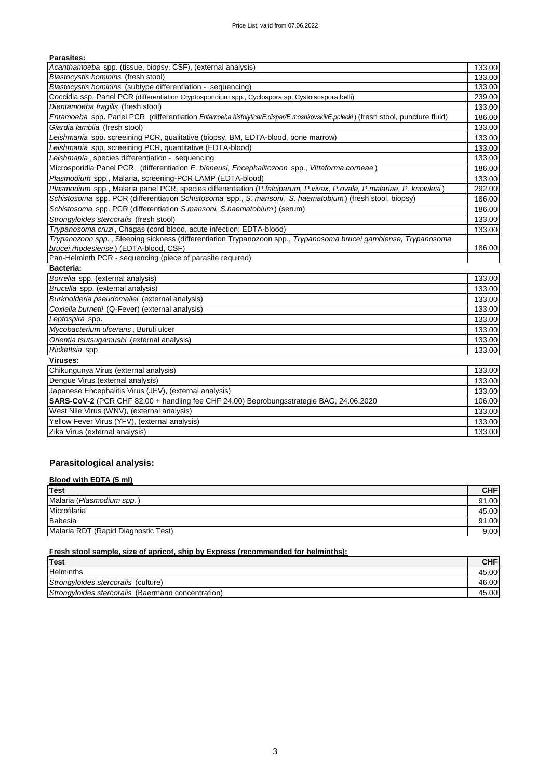### **Parasites:**

| Acanthamoeba spp. (tissue, biopsy, CSF), (external analysis)                                                                    | 133.00 |
|---------------------------------------------------------------------------------------------------------------------------------|--------|
| Blastocystis hominins (fresh stool)                                                                                             | 133.00 |
| Blastocystis hominins (subtype differentiation - sequencing)                                                                    | 133.00 |
| Coccidia ssp. Panel PCR (differentiation Cryptosporidium spp., Cyclospora sp, Cystoisospora belli)                              | 239.00 |
| Dientamoeba fragilis (fresh stool)                                                                                              | 133.00 |
| Entamoeba spp. Panel PCR (differentiation Entamoeba histolytica/E.dispar/E.moshkovskii/E.polecki) (fresh stool, puncture fluid) | 186.00 |
| Giardia lamblia (fresh stool)                                                                                                   | 133.00 |
| Leishmania spp. screeining PCR, qualitative (biopsy, BM, EDTA-blood, bone marrow)                                               | 133.00 |
| Leishmania spp. screeining PCR, quantitative (EDTA-blood)                                                                       | 133.00 |
| Leishmania, species differentiation - sequencing                                                                                | 133.00 |
| Microsporidia Panel PCR, (differentiation E. bieneusi, Encephalitozoon spp., Vittaforma corneae)                                | 186.00 |
| Plasmodium spp., Malaria, screening-PCR LAMP (EDTA-blood)                                                                       | 133.00 |
| Plasmodium spp., Malaria panel PCR, species differentiation (P.falciparum, P.vivax, P.ovale, P.malariae, P. knowlesi)           | 292.00 |
| Schistosoma spp. PCR (differentiation Schistosoma spp., S. mansoni, S. haematobium) (fresh stool, biopsy)                       | 186.00 |
| Schistosoma spp. PCR (differentiation S.mansoni, S.haematobium) (serum)                                                         | 186.00 |
| Strongyloides stercoralis (fresh stool)                                                                                         | 133.00 |
| Trypanosoma cruzi, Chagas (cord blood, acute infection: EDTA-blood)                                                             | 133.00 |
| Trypanozoon spp., Sleeping sickness (differentiation Trypanozoon spp., Trypanosoma brucei gambiense, Trypanosoma                |        |
| brucei rhodesiense) (EDTA-blood, CSF)                                                                                           | 186.00 |
| Pan-Helminth PCR - sequencing (piece of parasite required)                                                                      |        |
| Bacteria:                                                                                                                       |        |
| Borrelia spp. (external analysis)                                                                                               | 133.00 |
| Brucella spp. (external analysis)                                                                                               | 133.00 |
| Burkholderia pseudomallei (external analysis)                                                                                   | 133.00 |
| Coxiella burnetii (Q-Fever) (external analysis)                                                                                 | 133.00 |
| Leptospira spp.                                                                                                                 | 133.00 |
| Mycobacterium ulcerans, Buruli ulcer                                                                                            | 133.00 |
| Orientia tsutsugamushi (external analysis)                                                                                      | 133.00 |
| Rickettsia spp                                                                                                                  | 133.00 |
| Viruses:                                                                                                                        |        |
| Chikungunya Virus (external analysis)                                                                                           | 133.00 |
| Dengue Virus (external analysis)                                                                                                | 133.00 |
| Japanese Encephalitis Virus (JEV), (external analysis)                                                                          | 133.00 |
| SARS-CoV-2 (PCR CHF 82.00 + handling fee CHF 24.00) Beprobungsstrategie BAG, 24.06.2020                                         | 106.00 |
| West Nile Virus (WNV), (external analysis)                                                                                      | 133.00 |
| Yellow Fever Virus (YFV), (external analysis)                                                                                   | 133.00 |
| Zika Virus (external analysis)                                                                                                  | 133.00 |

### **Parasitological analysis:**

### **Blood with EDTA (5 ml)**

| Test                                | <b>CHF</b> |
|-------------------------------------|------------|
| Malaria (Plasmodium spp.)           | 91.00      |
| Microfilaria                        | 45.00      |
| Babesia                             | 91.00      |
| Malaria RDT (Rapid Diagnostic Test) | 9.00       |

### **Fresh stool sample, size of apricot, ship by Express (recommended for helminths):**

| Test                                               | <b>CHF</b> |
|----------------------------------------------------|------------|
| <b>Helminths</b>                                   | 45.00      |
| Strongyloides stercoralis (culture)                | 46.00      |
| Strongyloides stercoralis (Baermann concentration) | 45.00      |